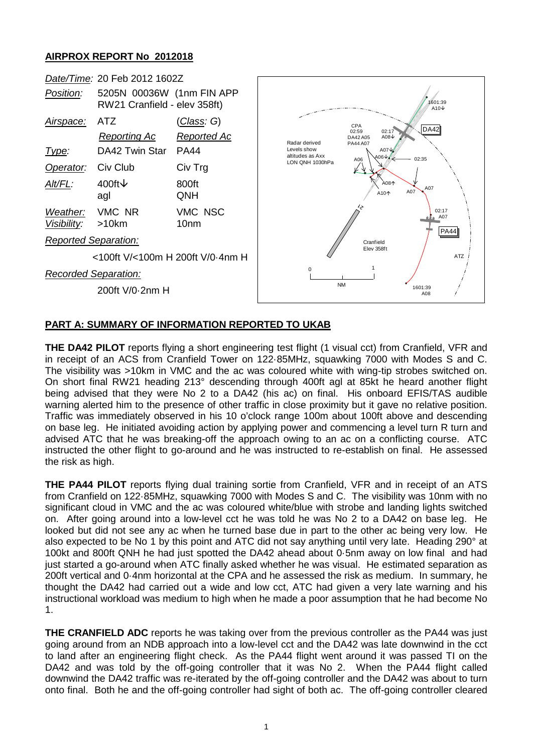## **AIRPROX REPORT No 2012018**



## **PART A: SUMMARY OF INFORMATION REPORTED TO UKAB**

**THE DA42 PILOT** reports flying a short engineering test flight (1 visual cct) from Cranfield, VFR and in receipt of an ACS from Cranfield Tower on 122·85MHz, squawking 7000 with Modes S and C. The visibility was >10km in VMC and the ac was coloured white with wing-tip strobes switched on. On short final RW21 heading 213° descending through 400ft agl at 85kt he heard another flight being advised that they were No 2 to a DA42 (his ac) on final. His onboard EFIS/TAS audible warning alerted him to the presence of other traffic in close proximity but it gave no relative position. Traffic was immediately observed in his 10 o'clock range 100m about 100ft above and descending on base leg. He initiated avoiding action by applying power and commencing a level turn R turn and advised ATC that he was breaking-off the approach owing to an ac on a conflicting course. ATC instructed the other flight to go-around and he was instructed to re-establish on final. He assessed the risk as high.

**THE PA44 PILOT** reports flying dual training sortie from Cranfield, VFR and in receipt of an ATS from Cranfield on 122·85MHz, squawking 7000 with Modes S and C. The visibility was 10nm with no significant cloud in VMC and the ac was coloured white/blue with strobe and landing lights switched on. After going around into a low-level cct he was told he was No 2 to a DA42 on base leg. He looked but did not see any ac when he turned base due in part to the other ac being very low. He also expected to be No 1 by this point and ATC did not say anything until very late. Heading 290° at 100kt and 800ft QNH he had just spotted the DA42 ahead about 0·5nm away on low final and had just started a go-around when ATC finally asked whether he was visual. He estimated separation as 200ft vertical and 0·4nm horizontal at the CPA and he assessed the risk as medium. In summary, he thought the DA42 had carried out a wide and low cct, ATC had given a very late warning and his instructional workload was medium to high when he made a poor assumption that he had become No 1.

**THE CRANFIELD ADC** reports he was taking over from the previous controller as the PA44 was just going around from an NDB approach into a low-level cct and the DA42 was late downwind in the cct to land after an engineering flight check. As the PA44 flight went around it was passed TI on the DA42 and was told by the off-going controller that it was No 2. When the PA44 flight called downwind the DA42 traffic was re-iterated by the off-going controller and the DA42 was about to turn onto final. Both he and the off-going controller had sight of both ac. The off-going controller cleared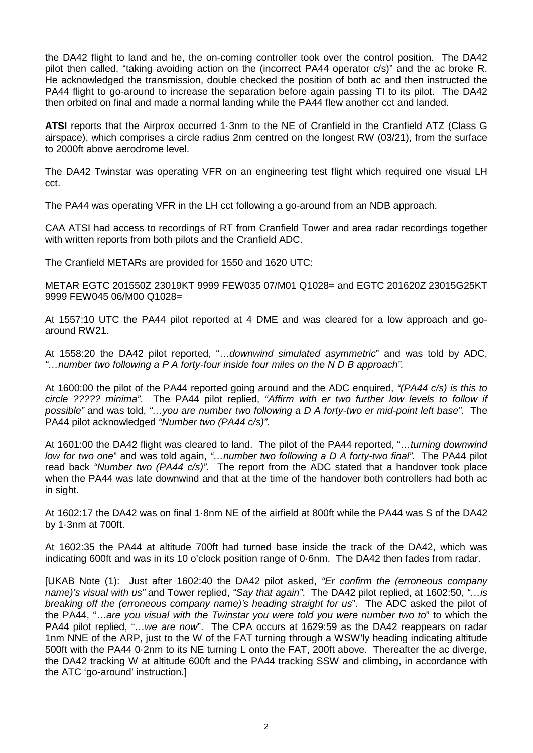the DA42 flight to land and he, the on-coming controller took over the control position. The DA42 pilot then called, "taking avoiding action on the (incorrect PA44 operator c/s)" and the ac broke R. He acknowledged the transmission, double checked the position of both ac and then instructed the PA44 flight to go-around to increase the separation before again passing TI to its pilot. The DA42 then orbited on final and made a normal landing while the PA44 flew another cct and landed.

**ATSI** reports that the Airprox occurred 1·3nm to the NE of Cranfield in the Cranfield ATZ (Class G airspace), which comprises a circle radius 2nm centred on the longest RW (03/21), from the surface to 2000ft above aerodrome level.

The DA42 Twinstar was operating VFR on an engineering test flight which required one visual LH cct.

The PA44 was operating VFR in the LH cct following a go-around from an NDB approach.

CAA ATSI had access to recordings of RT from Cranfield Tower and area radar recordings together with written reports from both pilots and the Cranfield ADC.

The Cranfield METARs are provided for 1550 and 1620 UTC:

METAR EGTC 201550Z 23019KT 9999 FEW035 07/M01 Q1028= and EGTC 201620Z 23015G25KT 9999 FEW045 06/M00 Q1028=

At 1557:10 UTC the PA44 pilot reported at 4 DME and was cleared for a low approach and goaround RW21.

At 1558:20 the DA42 pilot reported, "…*downwind simulated asymmetric*" and was told by ADC, *"…number two following a P A forty-four inside four miles on the N D B approach".*

At 1600:00 the pilot of the PA44 reported going around and the ADC enquired, *"(PA44 c/s) is this to circle ????? minima"*. The PA44 pilot replied, *"Affirm with er two further low levels to follow if possible"* and was told, *"…you are number two following a D A forty-two er mid-point left base"*. The PA44 pilot acknowledged *"Number two (PA44 c/s)"*.

At 1601:00 the DA42 flight was cleared to land. The pilot of the PA44 reported, "…*turning downwind low for two one*" and was told again, *"…number two following a D A forty-two final"*. The PA44 pilot read back *"Number two (PA44 c/s)"*. The report from the ADC stated that a handover took place when the PA44 was late downwind and that at the time of the handover both controllers had both ac in sight.

At 1602:17 the DA42 was on final 1·8nm NE of the airfield at 800ft while the PA44 was S of the DA42 by 1·3nm at 700ft.

At 1602:35 the PA44 at altitude 700ft had turned base inside the track of the DA42, which was indicating 600ft and was in its 10 o'clock position range of 0·6nm. The DA42 then fades from radar.

[UKAB Note (1): Just after 1602:40 the DA42 pilot asked, *"Er confirm the (erroneous company name)'s visual with us"* and Tower replied, *"Say that again"*. The DA42 pilot replied, at 1602:50, *"…is breaking off the (erroneous company name)'s heading straight for us*". The ADC asked the pilot of the PA44, "…*are you visual with the Twinstar you were told you were number two to*" to which the PA44 pilot replied, "…*we are now*". The CPA occurs at 1629:59 as the DA42 reappears on radar 1nm NNE of the ARP, just to the W of the FAT turning through a WSW'ly heading indicating altitude 500ft with the PA44 0·2nm to its NE turning L onto the FAT, 200ft above. Thereafter the ac diverge, the DA42 tracking W at altitude 600ft and the PA44 tracking SSW and climbing, in accordance with the ATC 'go-around' instruction.]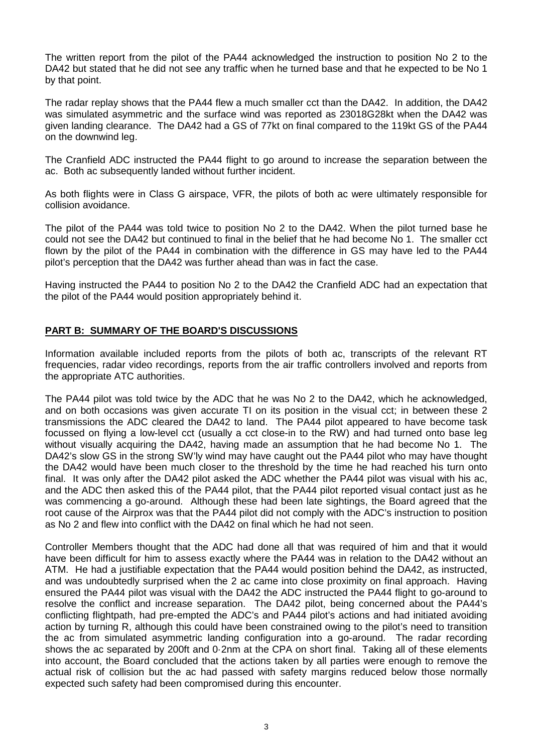The written report from the pilot of the PA44 acknowledged the instruction to position No 2 to the DA42 but stated that he did not see any traffic when he turned base and that he expected to be No 1 by that point.

The radar replay shows that the PA44 flew a much smaller cct than the DA42. In addition, the DA42 was simulated asymmetric and the surface wind was reported as 23018G28kt when the DA42 was given landing clearance. The DA42 had a GS of 77kt on final compared to the 119kt GS of the PA44 on the downwind leg.

The Cranfield ADC instructed the PA44 flight to go around to increase the separation between the ac. Both ac subsequently landed without further incident.

As both flights were in Class G airspace, VFR, the pilots of both ac were ultimately responsible for collision avoidance.

The pilot of the PA44 was told twice to position No 2 to the DA42. When the pilot turned base he could not see the DA42 but continued to final in the belief that he had become No 1. The smaller cct flown by the pilot of the PA44 in combination with the difference in GS may have led to the PA44 pilot's perception that the DA42 was further ahead than was in fact the case.

Having instructed the PA44 to position No 2 to the DA42 the Cranfield ADC had an expectation that the pilot of the PA44 would position appropriately behind it.

## **PART B: SUMMARY OF THE BOARD'S DISCUSSIONS**

Information available included reports from the pilots of both ac, transcripts of the relevant RT frequencies, radar video recordings, reports from the air traffic controllers involved and reports from the appropriate ATC authorities.

The PA44 pilot was told twice by the ADC that he was No 2 to the DA42, which he acknowledged, and on both occasions was given accurate TI on its position in the visual cct; in between these 2 transmissions the ADC cleared the DA42 to land. The PA44 pilot appeared to have become task focussed on flying a low-level cct (usually a cct close-in to the RW) and had turned onto base leg without visually acquiring the DA42, having made an assumption that he had become No 1. The DA42's slow GS in the strong SW'ly wind may have caught out the PA44 pilot who may have thought the DA42 would have been much closer to the threshold by the time he had reached his turn onto final. It was only after the DA42 pilot asked the ADC whether the PA44 pilot was visual with his ac, and the ADC then asked this of the PA44 pilot, that the PA44 pilot reported visual contact just as he was commencing a go-around. Although these had been late sightings, the Board agreed that the root cause of the Airprox was that the PA44 pilot did not comply with the ADC's instruction to position as No 2 and flew into conflict with the DA42 on final which he had not seen.

Controller Members thought that the ADC had done all that was required of him and that it would have been difficult for him to assess exactly where the PA44 was in relation to the DA42 without an ATM. He had a justifiable expectation that the PA44 would position behind the DA42, as instructed, and was undoubtedly surprised when the 2 ac came into close proximity on final approach. Having ensured the PA44 pilot was visual with the DA42 the ADC instructed the PA44 flight to go-around to resolve the conflict and increase separation. The DA42 pilot, being concerned about the PA44's conflicting flightpath, had pre-empted the ADC's and PA44 pilot's actions and had initiated avoiding action by turning R, although this could have been constrained owing to the pilot's need to transition the ac from simulated asymmetric landing configuration into a go-around. The radar recording shows the ac separated by 200ft and 0·2nm at the CPA on short final. Taking all of these elements into account, the Board concluded that the actions taken by all parties were enough to remove the actual risk of collision but the ac had passed with safety margins reduced below those normally expected such safety had been compromised during this encounter.